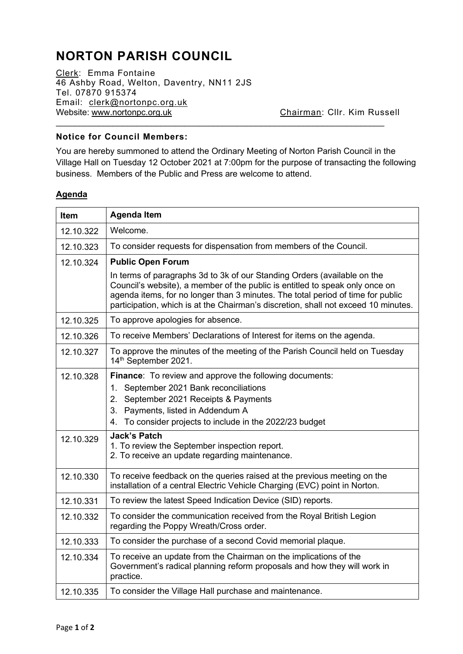## **NORTON PARISH COUNCIL**

Clerk: Emma Fontaine 46 Ashby Road, Welton, Daventry, NN11 2JS Tel. 07870 915374 Email: [clerk@nortonpc.org.uk](mailto:clerk@nortonpc.org.uk) Website: [www.nortonpc.org.uk](http://www.nortonpc.org.uk/) Chairman: Cllr. Kim Russell  $\_$ 

## **Notice for Council Members:**

You are hereby summoned to attend the Ordinary Meeting of Norton Parish Council in the Village Hall on Tuesday 12 October 2021 at 7:00pm for the purpose of transacting the following business. Members of the Public and Press are welcome to attend.

## **Agenda**

| <b>Item</b> | <b>Agenda Item</b>                                                                                                                                                                                                                                                                                                                |  |  |  |
|-------------|-----------------------------------------------------------------------------------------------------------------------------------------------------------------------------------------------------------------------------------------------------------------------------------------------------------------------------------|--|--|--|
| 12.10.322   | Welcome.                                                                                                                                                                                                                                                                                                                          |  |  |  |
| 12.10.323   | To consider requests for dispensation from members of the Council.                                                                                                                                                                                                                                                                |  |  |  |
| 12.10.324   | <b>Public Open Forum</b>                                                                                                                                                                                                                                                                                                          |  |  |  |
|             | In terms of paragraphs 3d to 3k of our Standing Orders (available on the<br>Council's website), a member of the public is entitled to speak only once on<br>agenda items, for no longer than 3 minutes. The total period of time for public<br>participation, which is at the Chairman's discretion, shall not exceed 10 minutes. |  |  |  |
| 12.10.325   | To approve apologies for absence.                                                                                                                                                                                                                                                                                                 |  |  |  |
| 12.10.326   | To receive Members' Declarations of Interest for items on the agenda.                                                                                                                                                                                                                                                             |  |  |  |
| 12.10.327   | To approve the minutes of the meeting of the Parish Council held on Tuesday<br>14 <sup>th</sup> September 2021.                                                                                                                                                                                                                   |  |  |  |
| 12.10.328   | Finance: To review and approve the following documents:<br>September 2021 Bank reconciliations<br>1 <sub>1</sub><br>2. September 2021 Receipts & Payments<br>Payments, listed in Addendum A<br>3.<br>To consider projects to include in the 2022/23 budget<br>4.                                                                  |  |  |  |
| 12.10.329   | <b>Jack's Patch</b><br>1. To review the September inspection report.<br>2. To receive an update regarding maintenance.                                                                                                                                                                                                            |  |  |  |
| 12.10.330   | To receive feedback on the queries raised at the previous meeting on the<br>installation of a central Electric Vehicle Charging (EVC) point in Norton.                                                                                                                                                                            |  |  |  |
| 12.10.331   | To review the latest Speed Indication Device (SID) reports.                                                                                                                                                                                                                                                                       |  |  |  |
| 12.10.332   | To consider the communication received from the Royal British Legion<br>regarding the Poppy Wreath/Cross order.                                                                                                                                                                                                                   |  |  |  |
| 12.10.333   | To consider the purchase of a second Covid memorial plaque.                                                                                                                                                                                                                                                                       |  |  |  |
| 12.10.334   | To receive an update from the Chairman on the implications of the<br>Government's radical planning reform proposals and how they will work in<br>practice.                                                                                                                                                                        |  |  |  |
| 12.10.335   | To consider the Village Hall purchase and maintenance.                                                                                                                                                                                                                                                                            |  |  |  |